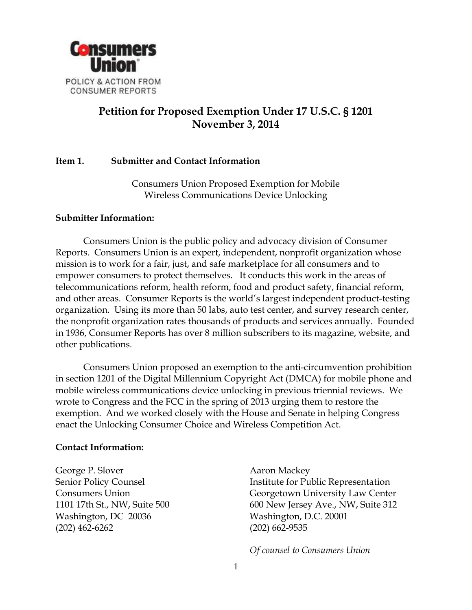

# **Petition for Proposed Exemption Under 17 U.S.C. § 1201 November 3, 2014**

## **Item 1. Submitter and Contact Information**

Consumers Union Proposed Exemption for Mobile Wireless Communications Device Unlocking

#### **Submitter Information:**

Consumers Union is the public policy and advocacy division of Consumer Reports. Consumers Union is an expert, independent, nonprofit organization whose mission is to work for a fair, just, and safe marketplace for all consumers and to empower consumers to protect themselves. It conducts this work in the areas of telecommunications reform, health reform, food and product safety, financial reform, and other areas. Consumer Reports is the world's largest independent product-testing organization. Using its more than 50 labs, auto test center, and survey research center, the nonprofit organization rates thousands of products and services annually. Founded in 1936, Consumer Reports has over 8 million subscribers to its magazine, website, and other publications.

Consumers Union proposed an exemption to the anti-circumvention prohibition in section 1201 of the Digital Millennium Copyright Act (DMCA) for mobile phone and mobile wireless communications device unlocking in previous triennial reviews. We wrote to Congress and the FCC in the spring of 2013 urging them to restore the exemption. And we worked closely with the House and Senate in helping Congress enact the Unlocking Consumer Choice and Wireless Competition Act.

#### **Contact Information:**

George P. Slover Senior Policy Counsel Consumers Union 1101 17th St., NW, Suite 500 Washington, DC 20036 (202) 462-6262

Aaron Mackey Institute for Public Representation Georgetown University Law Center 600 New Jersey Ave., NW, Suite 312 Washington, D.C. 20001 (202) 662-9535

*Of counsel to Consumers Union*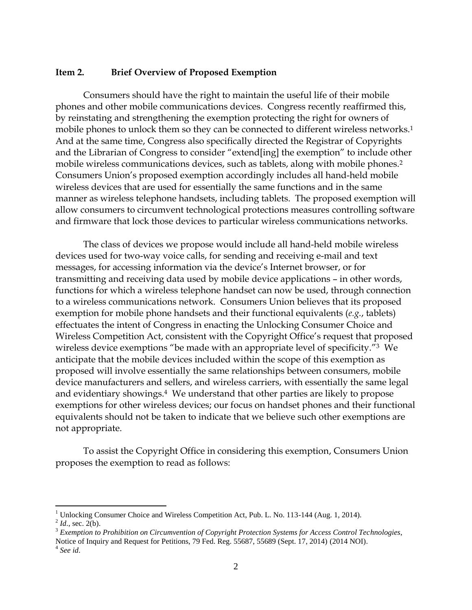#### **Item 2. Brief Overview of Proposed Exemption**

Consumers should have the right to maintain the useful life of their mobile phones and other mobile communications devices. Congress recently reaffirmed this, by reinstating and strengthening the exemption protecting the right for owners of mobile phones to unlock them so they can be connected to different wireless networks.<sup>1</sup> And at the same time, Congress also specifically directed the Registrar of Copyrights and the Librarian of Congress to consider "extend[ing] the exemption" to include other mobile wireless communications devices, such as tablets, along with mobile phones. 2 Consumers Union's proposed exemption accordingly includes all hand-held mobile wireless devices that are used for essentially the same functions and in the same manner as wireless telephone handsets, including tablets. The proposed exemption will allow consumers to circumvent technological protections measures controlling software and firmware that lock those devices to particular wireless communications networks.

The class of devices we propose would include all hand-held mobile wireless devices used for two-way voice calls, for sending and receiving e-mail and text messages, for accessing information via the device's Internet browser, or for transmitting and receiving data used by mobile device applications – in other words, functions for which a wireless telephone handset can now be used, through connection to a wireless communications network. Consumers Union believes that its proposed exemption for mobile phone handsets and their functional equivalents (*e.g.*, tablets) effectuates the intent of Congress in enacting the Unlocking Consumer Choice and Wireless Competition Act, consistent with the Copyright Office's request that proposed wireless device exemptions "be made with an appropriate level of specificity."3 We anticipate that the mobile devices included within the scope of this exemption as proposed will involve essentially the same relationships between consumers, mobile device manufacturers and sellers, and wireless carriers, with essentially the same legal and evidentiary showings.<sup>4</sup> We understand that other parties are likely to propose exemptions for other wireless devices; our focus on handset phones and their functional equivalents should not be taken to indicate that we believe such other exemptions are not appropriate.

To assist the Copyright Office in considering this exemption, Consumers Union proposes the exemption to read as follows:

 $\overline{a}$ 

<sup>&</sup>lt;sup>1</sup> Unlocking Consumer Choice and Wireless Competition Act, Pub. L. No. 113-144 (Aug. 1, 2014).

 $^{2}$  *Id.*, sec. 2(b).

<sup>3</sup> *Exemption to Prohibition on Circumvention of Copyright Protection Systems for Access Control Technologies*, Notice of Inquiry and Request for Petitions, 79 Fed. Reg. 55687, 55689 (Sept. 17, 2014) (2014 NOI). 4 *See id*.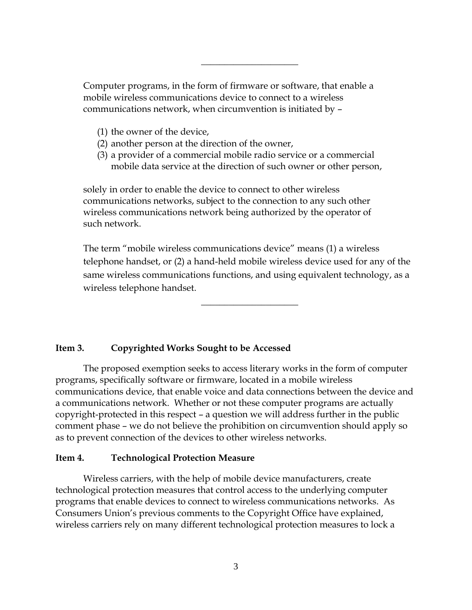Computer programs, in the form of firmware or software, that enable a mobile wireless communications device to connect to a wireless communications network, when circumvention is initiated by –

 $\overline{\phantom{a}}$  , where  $\overline{\phantom{a}}$  , where  $\overline{\phantom{a}}$ 

- (1) the owner of the device,
- (2) another person at the direction of the owner,
- (3) a provider of a commercial mobile radio service or a commercial mobile data service at the direction of such owner or other person,

solely in order to enable the device to connect to other wireless communications networks, subject to the connection to any such other wireless communications network being authorized by the operator of such network.

The term "mobile wireless communications device" means (1) a wireless telephone handset, or (2) a hand-held mobile wireless device used for any of the same wireless communications functions, and using equivalent technology, as a wireless telephone handset.

 $\overline{\phantom{a}}$  , where  $\overline{\phantom{a}}$  , where  $\overline{\phantom{a}}$ 

### **Item 3. Copyrighted Works Sought to be Accessed**

The proposed exemption seeks to access literary works in the form of computer programs, specifically software or firmware, located in a mobile wireless communications device, that enable voice and data connections between the device and a communications network. Whether or not these computer programs are actually copyright-protected in this respect – a question we will address further in the public comment phase – we do not believe the prohibition on circumvention should apply so as to prevent connection of the devices to other wireless networks.

### **Item 4. Technological Protection Measure**

Wireless carriers, with the help of mobile device manufacturers, create technological protection measures that control access to the underlying computer programs that enable devices to connect to wireless communications networks. As Consumers Union's previous comments to the Copyright Office have explained, wireless carriers rely on many different technological protection measures to lock a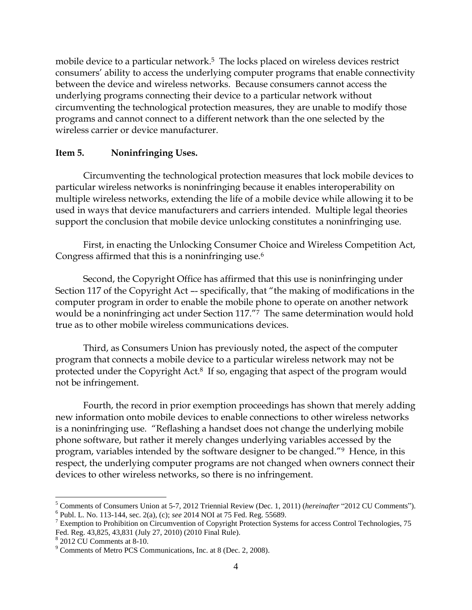mobile device to a particular network. 5 The locks placed on wireless devices restrict consumers' ability to access the underlying computer programs that enable connectivity between the device and wireless networks. Because consumers cannot access the underlying programs connecting their device to a particular network without circumventing the technological protection measures, they are unable to modify those programs and cannot connect to a different network than the one selected by the wireless carrier or device manufacturer.

## **Item 5. Noninfringing Uses.**

Circumventing the technological protection measures that lock mobile devices to particular wireless networks is noninfringing because it enables interoperability on multiple wireless networks, extending the life of a mobile device while allowing it to be used in ways that device manufacturers and carriers intended. Multiple legal theories support the conclusion that mobile device unlocking constitutes a noninfringing use.

First, in enacting the Unlocking Consumer Choice and Wireless Competition Act, Congress affirmed that this is a noninfringing use.<sup>6</sup>

Second, the Copyright Office has affirmed that this use is noninfringing under Section 117 of the Copyright Act –- specifically, that "the making of modifications in the computer program in order to enable the mobile phone to operate on another network would be a noninfringing act under Section 117."7 The same determination would hold true as to other mobile wireless communications devices.

Third, as Consumers Union has previously noted, the aspect of the computer program that connects a mobile device to a particular wireless network may not be protected under the Copyright Act.<sup>8</sup> If so, engaging that aspect of the program would not be infringement.

Fourth, the record in prior exemption proceedings has shown that merely adding new information onto mobile devices to enable connections to other wireless networks is a noninfringing use. "Reflashing a handset does not change the underlying mobile phone software, but rather it merely changes underlying variables accessed by the program, variables intended by the software designer to be changed."9 Hence, in this respect, the underlying computer programs are not changed when owners connect their devices to other wireless networks, so there is no infringement.

 $\overline{a}$ 

<sup>5</sup> Comments of Consumers Union at 5-7, 2012 Triennial Review (Dec. 1, 2011) (*hereinafter* "2012 CU Comments"). 6 Publ. L. No. 113-144, sec. 2(a), (c); *see* 2014 NOI at 75 Fed. Reg. 55689.

<sup>&</sup>lt;sup>7</sup> Exemption to Prohibition on Circumvention of Copyright Protection Systems for access Control Technologies, 75 Fed. Reg. 43,825, 43,831 (July 27, 2010) (2010 Final Rule).

<sup>8</sup> 2012 CU Comments at 8-10.

<sup>9</sup> Comments of Metro PCS Communications, Inc. at 8 (Dec. 2, 2008).